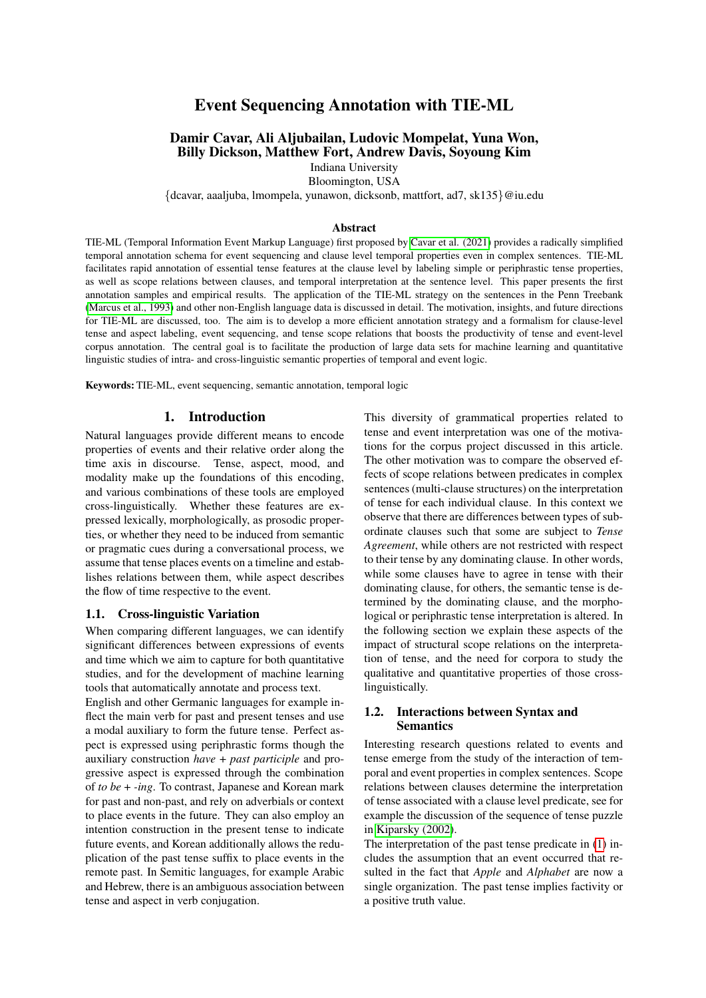# Event Sequencing Annotation with TIE-ML

## Damir Cavar, Ali Aljubailan, Ludovic Mompelat, Yuna Won, Billy Dickson, Matthew Fort, Andrew Davis, Soyoung Kim

Indiana University Bloomington, USA

{dcavar, aaaljuba, lmompela, yunawon, dicksonb, mattfort, ad7, sk135}@iu.edu

#### Abstract

TIE-ML (Temporal Information Event Markup Language) first proposed by [Cavar et al. \(2021\)](#page-7-0) provides a radically simplified temporal annotation schema for event sequencing and clause level temporal properties even in complex sentences. TIE-ML facilitates rapid annotation of essential tense features at the clause level by labeling simple or periphrastic tense properties, as well as scope relations between clauses, and temporal interpretation at the sentence level. This paper presents the first annotation samples and empirical results. The application of the TIE-ML strategy on the sentences in the Penn Treebank [\(Marcus et al., 1993\)](#page-7-1) and other non-English language data is discussed in detail. The motivation, insights, and future directions for TIE-ML are discussed, too. The aim is to develop a more efficient annotation strategy and a formalism for clause-level tense and aspect labeling, event sequencing, and tense scope relations that boosts the productivity of tense and event-level corpus annotation. The central goal is to facilitate the production of large data sets for machine learning and quantitative linguistic studies of intra- and cross-linguistic semantic properties of temporal and event logic.

Keywords: TIE-ML, event sequencing, semantic annotation, temporal logic

#### 1. Introduction

Natural languages provide different means to encode properties of events and their relative order along the time axis in discourse. Tense, aspect, mood, and modality make up the foundations of this encoding, and various combinations of these tools are employed cross-linguistically. Whether these features are expressed lexically, morphologically, as prosodic properties, or whether they need to be induced from semantic or pragmatic cues during a conversational process, we assume that tense places events on a timeline and establishes relations between them, while aspect describes the flow of time respective to the event.

#### 1.1. Cross-linguistic Variation

When comparing different languages, we can identify significant differences between expressions of events and time which we aim to capture for both quantitative studies, and for the development of machine learning tools that automatically annotate and process text.

English and other Germanic languages for example inflect the main verb for past and present tenses and use a modal auxiliary to form the future tense. Perfect aspect is expressed using periphrastic forms though the auxiliary construction *have* + *past participle* and progressive aspect is expressed through the combination of *to be* + *-ing*. To contrast, Japanese and Korean mark for past and non-past, and rely on adverbials or context to place events in the future. They can also employ an intention construction in the present tense to indicate future events, and Korean additionally allows the reduplication of the past tense suffix to place events in the remote past. In Semitic languages, for example Arabic and Hebrew, there is an ambiguous association between tense and aspect in verb conjugation.

This diversity of grammatical properties related to tense and event interpretation was one of the motivations for the corpus project discussed in this article. The other motivation was to compare the observed effects of scope relations between predicates in complex sentences (multi-clause structures) on the interpretation of tense for each individual clause. In this context we observe that there are differences between types of subordinate clauses such that some are subject to *Tense Agreement*, while others are not restricted with respect to their tense by any dominating clause. In other words, while some clauses have to agree in tense with their dominating clause, for others, the semantic tense is determined by the dominating clause, and the morphological or periphrastic tense interpretation is altered. In the following section we explain these aspects of the impact of structural scope relations on the interpretation of tense, and the need for corpora to study the qualitative and quantitative properties of those crosslinguistically.

### 1.2. Interactions between Syntax and Semantics

Interesting research questions related to events and tense emerge from the study of the interaction of temporal and event properties in complex sentences. Scope relations between clauses determine the interpretation of tense associated with a clause level predicate, see for example the discussion of the sequence of tense puzzle in [Kiparsky \(2002\)](#page-7-2).

The interpretation of the past tense predicate in [\(1\)](#page-1-0) includes the assumption that an event occurred that resulted in the fact that *Apple* and *Alphabet* are now a single organization. The past tense implies factivity or a positive truth value.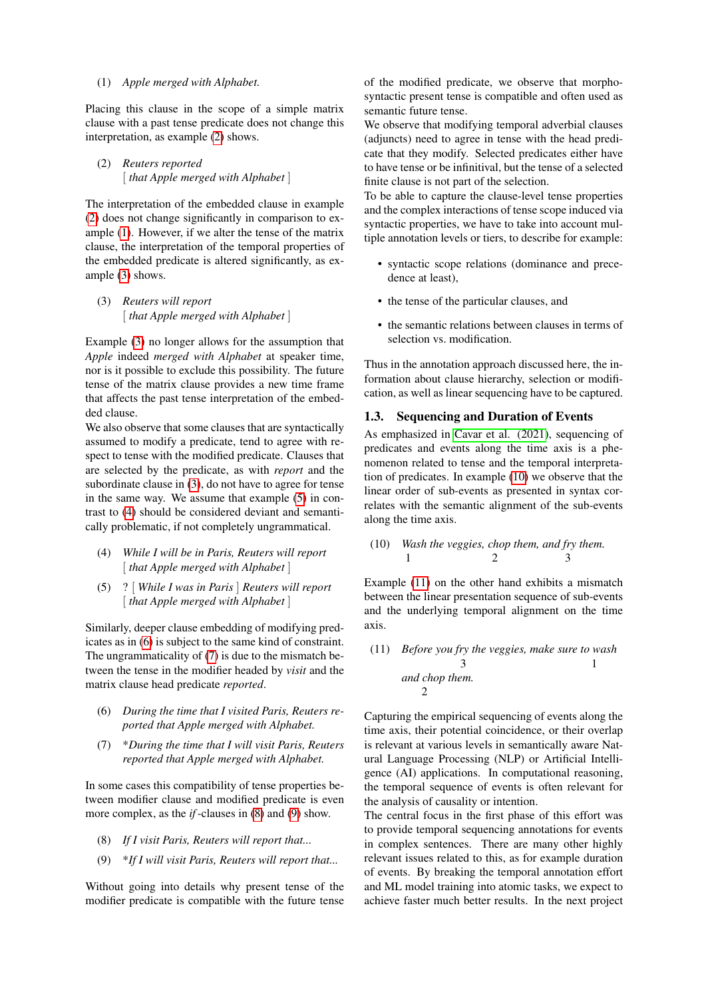#### <span id="page-1-0"></span>(1) *Apple merged with Alphabet.*

Placing this clause in the scope of a simple matrix clause with a past tense predicate does not change this interpretation, as example [\(2\)](#page-1-1) shows.

<span id="page-1-1"></span>(2) *Reuters reported* [ *that Apple merged with Alphabet* ]

The interpretation of the embedded clause in example [\(2\)](#page-1-1) does not change significantly in comparison to example [\(1\)](#page-1-0). However, if we alter the tense of the matrix clause, the interpretation of the temporal properties of the embedded predicate is altered significantly, as example [\(3\)](#page-1-2) shows.

<span id="page-1-2"></span>(3) *Reuters will report* [ *that Apple merged with Alphabet* ]

Example [\(3\)](#page-1-2) no longer allows for the assumption that *Apple* indeed *merged with Alphabet* at speaker time, nor is it possible to exclude this possibility. The future tense of the matrix clause provides a new time frame that affects the past tense interpretation of the embedded clause.

We also observe that some clauses that are syntactically assumed to modify a predicate, tend to agree with respect to tense with the modified predicate. Clauses that are selected by the predicate, as with *report* and the subordinate clause in [\(3\)](#page-1-2), do not have to agree for tense in the same way. We assume that example [\(5\)](#page-1-3) in contrast to [\(4\)](#page-1-4) should be considered deviant and semantically problematic, if not completely ungrammatical.

- <span id="page-1-4"></span>(4) *While I will be in Paris, Reuters will report* [ *that Apple merged with Alphabet* ]
- <span id="page-1-3"></span>(5) ? [ *While I was in Paris* ] *Reuters will report* [ *that Apple merged with Alphabet* ]

Similarly, deeper clause embedding of modifying predicates as in [\(6\)](#page-1-5) is subject to the same kind of constraint. The ungrammaticality of [\(7\)](#page-1-6) is due to the mismatch between the tense in the modifier headed by *visit* and the matrix clause head predicate *reported*.

- <span id="page-1-5"></span>(6) *During the time that I visited Paris, Reuters reported that Apple merged with Alphabet.*
- <span id="page-1-6"></span>(7) \**During the time that I will visit Paris, Reuters reported that Apple merged with Alphabet.*

In some cases this compatibility of tense properties between modifier clause and modified predicate is even more complex, as the *if*-clauses in [\(8\)](#page-1-7) and [\(9\)](#page-1-8) show.

- <span id="page-1-7"></span>(8) *If I visit Paris, Reuters will report that...*
- <span id="page-1-8"></span>(9) \**If I will visit Paris, Reuters will report that...*

Without going into details why present tense of the modifier predicate is compatible with the future tense of the modified predicate, we observe that morphosyntactic present tense is compatible and often used as semantic future tense.

We observe that modifying temporal adverbial clauses (adjuncts) need to agree in tense with the head predicate that they modify. Selected predicates either have to have tense or be infinitival, but the tense of a selected finite clause is not part of the selection.

To be able to capture the clause-level tense properties and the complex interactions of tense scope induced via syntactic properties, we have to take into account multiple annotation levels or tiers, to describe for example:

- syntactic scope relations (dominance and precedence at least),
- the tense of the particular clauses, and
- the semantic relations between clauses in terms of selection vs. modification.

Thus in the annotation approach discussed here, the information about clause hierarchy, selection or modification, as well as linear sequencing have to be captured.

#### 1.3. Sequencing and Duration of Events

As emphasized in [Cavar et al. \(2021\)](#page-7-0), sequencing of predicates and events along the time axis is a phenomenon related to tense and the temporal interpretation of predicates. In example [\(10\)](#page-1-9) we observe that the linear order of sub-events as presented in syntax correlates with the semantic alignment of the sub-events along the time axis.

<span id="page-1-9"></span>(10) *Wash the veggies, chop them, and fry them.* 
$$
1 \qquad 2 \qquad 3
$$

Example [\(11\)](#page-1-10) on the other hand exhibits a mismatch between the linear presentation sequence of sub-events and the underlying temporal alignment on the time axis.

## <span id="page-1-10"></span>(11) *Before you fry the veggies, make sure to wash* 3 1 *and chop them.* 2

Capturing the empirical sequencing of events along the time axis, their potential coincidence, or their overlap is relevant at various levels in semantically aware Natural Language Processing (NLP) or Artificial Intelligence (AI) applications. In computational reasoning, the temporal sequence of events is often relevant for the analysis of causality or intention.

The central focus in the first phase of this effort was to provide temporal sequencing annotations for events in complex sentences. There are many other highly relevant issues related to this, as for example duration of events. By breaking the temporal annotation effort and ML model training into atomic tasks, we expect to achieve faster much better results. In the next project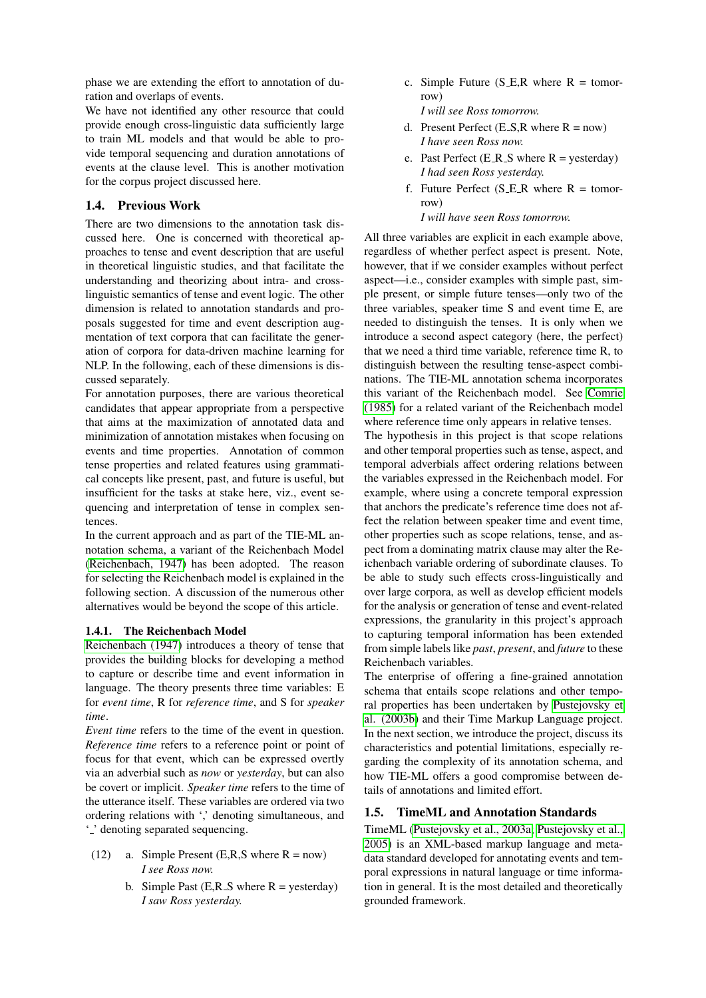phase we are extending the effort to annotation of duration and overlaps of events.

We have not identified any other resource that could provide enough cross-linguistic data sufficiently large to train ML models and that would be able to provide temporal sequencing and duration annotations of events at the clause level. This is another motivation for the corpus project discussed here.

### 1.4. Previous Work

There are two dimensions to the annotation task discussed here. One is concerned with theoretical approaches to tense and event description that are useful in theoretical linguistic studies, and that facilitate the understanding and theorizing about intra- and crosslinguistic semantics of tense and event logic. The other dimension is related to annotation standards and proposals suggested for time and event description augmentation of text corpora that can facilitate the generation of corpora for data-driven machine learning for NLP. In the following, each of these dimensions is discussed separately.

For annotation purposes, there are various theoretical candidates that appear appropriate from a perspective that aims at the maximization of annotated data and minimization of annotation mistakes when focusing on events and time properties. Annotation of common tense properties and related features using grammatical concepts like present, past, and future is useful, but insufficient for the tasks at stake here, viz., event sequencing and interpretation of tense in complex sentences.

In the current approach and as part of the TIE-ML annotation schema, a variant of the Reichenbach Model [\(Reichenbach, 1947\)](#page-8-0) has been adopted. The reason for selecting the Reichenbach model is explained in the following section. A discussion of the numerous other alternatives would be beyond the scope of this article.

#### 1.4.1. The Reichenbach Model

[Reichenbach \(1947\)](#page-8-0) introduces a theory of tense that provides the building blocks for developing a method to capture or describe time and event information in language. The theory presents three time variables: E for *event time*, R for *reference time*, and S for *speaker time*.

*Event time* refers to the time of the event in question. *Reference time* refers to a reference point or point of focus for that event, which can be expressed overtly via an adverbial such as *now* or *yesterday*, but can also be covert or implicit. *Speaker time* refers to the time of the utterance itself. These variables are ordered via two ordering relations with ',' denoting simultaneous, and '...' denoting separated sequencing.

- (12) a. Simple Present (E,R,S where  $R = now$ ) *I see Ross now.*
	- b. Simple Past  $(E,R_S)$  where  $R =$  yesterday) *I saw Ross yesterday.*

c. Simple Future  $(S_E, R$  where  $R =$  tomorrow)

*I will see Ross tomorrow.*

- d. Present Perfect  $(E_S, R)$  where  $R = now$ ) *I have seen Ross now.*
- e. Past Perfect (E\_R\_S where  $R =$  yesterday) *I had seen Ross yesterday.*
- f. Future Perfect (S\_E\_R where  $R =$  tomorrow)

*I will have seen Ross tomorrow.*

All three variables are explicit in each example above, regardless of whether perfect aspect is present. Note, however, that if we consider examples without perfect aspect—i.e., consider examples with simple past, simple present, or simple future tenses—only two of the three variables, speaker time S and event time E, are needed to distinguish the tenses. It is only when we introduce a second aspect category (here, the perfect) that we need a third time variable, reference time R, to distinguish between the resulting tense-aspect combinations. The TIE-ML annotation schema incorporates this variant of the Reichenbach model. See [Comrie](#page-7-3) [\(1985\)](#page-7-3) for a related variant of the Reichenbach model where reference time only appears in relative tenses.

The hypothesis in this project is that scope relations and other temporal properties such as tense, aspect, and temporal adverbials affect ordering relations between the variables expressed in the Reichenbach model. For example, where using a concrete temporal expression that anchors the predicate's reference time does not affect the relation between speaker time and event time, other properties such as scope relations, tense, and aspect from a dominating matrix clause may alter the Reichenbach variable ordering of subordinate clauses. To be able to study such effects cross-linguistically and over large corpora, as well as develop efficient models for the analysis or generation of tense and event-related expressions, the granularity in this project's approach to capturing temporal information has been extended from simple labels like *past*, *present*, and *future* to these Reichenbach variables.

The enterprise of offering a fine-grained annotation schema that entails scope relations and other temporal properties has been undertaken by [Pustejovsky et](#page-7-4) [al. \(2003b\)](#page-7-4) and their Time Markup Language project. In the next section, we introduce the project, discuss its characteristics and potential limitations, especially regarding the complexity of its annotation schema, and how TIE-ML offers a good compromise between details of annotations and limited effort.

### 1.5. TimeML and Annotation Standards

TimeML [\(Pustejovsky et al., 2003a;](#page-7-5) [Pustejovsky et al.,](#page-8-1) [2005\)](#page-8-1) is an XML-based markup language and metadata standard developed for annotating events and temporal expressions in natural language or time information in general. It is the most detailed and theoretically grounded framework.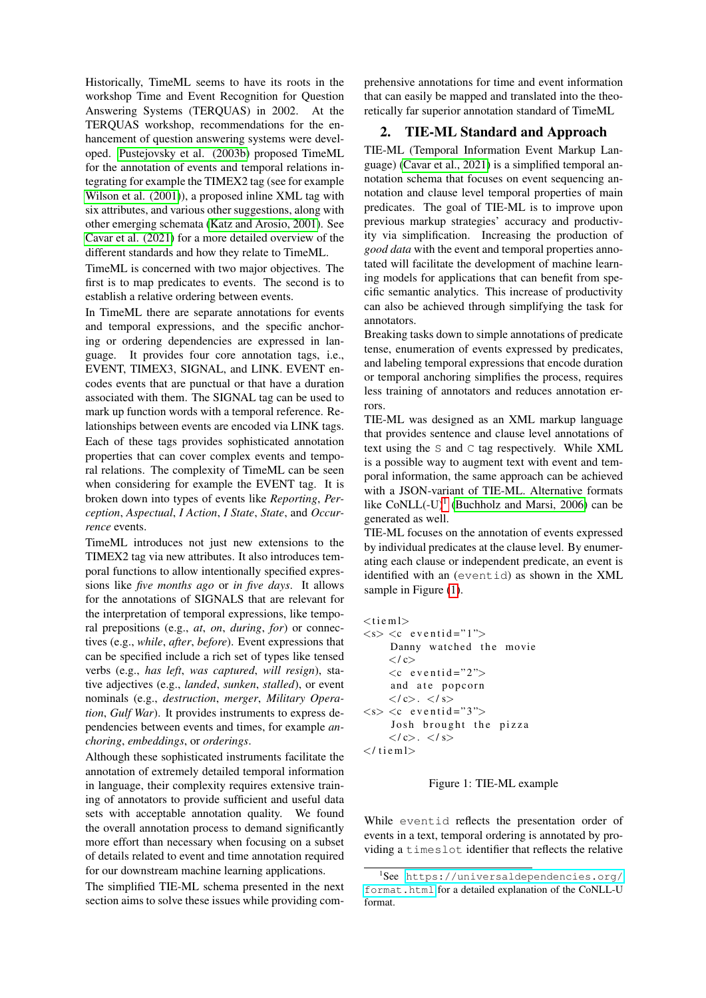Historically, TimeML seems to have its roots in the workshop Time and Event Recognition for Question Answering Systems (TERQUAS) in 2002. At the TERQUAS workshop, recommendations for the enhancement of question answering systems were developed. [Pustejovsky et al. \(2003b\)](#page-7-4) proposed TimeML for the annotation of events and temporal relations integrating for example the TIMEX2 tag (see for example [Wilson et al. \(2001\)](#page-8-2)), a proposed inline XML tag with six attributes, and various other suggestions, along with other emerging schemata [\(Katz and Arosio, 2001\)](#page-7-6). See [Cavar et al. \(2021\)](#page-7-0) for a more detailed overview of the different standards and how they relate to TimeML.

TimeML is concerned with two major objectives. The first is to map predicates to events. The second is to establish a relative ordering between events.

In TimeML there are separate annotations for events and temporal expressions, and the specific anchoring or ordering dependencies are expressed in language. It provides four core annotation tags, i.e., EVENT, TIMEX3, SIGNAL, and LINK. EVENT encodes events that are punctual or that have a duration associated with them. The SIGNAL tag can be used to mark up function words with a temporal reference. Relationships between events are encoded via LINK tags. Each of these tags provides sophisticated annotation properties that can cover complex events and temporal relations. The complexity of TimeML can be seen when considering for example the EVENT tag. It is broken down into types of events like *Reporting*, *Perception*, *Aspectual*, *I Action*, *I State*, *State*, and *Occurrence* events.

TimeML introduces not just new extensions to the TIMEX2 tag via new attributes. It also introduces temporal functions to allow intentionally specified expressions like *five months ago* or *in five days*. It allows for the annotations of SIGNALS that are relevant for the interpretation of temporal expressions, like temporal prepositions (e.g., *at*, *on*, *during*, *for*) or connectives (e.g., *while*, *after*, *before*). Event expressions that can be specified include a rich set of types like tensed verbs (e.g., *has left*, *was captured*, *will resign*), stative adjectives (e.g., *landed*, *sunken*, *stalled*), or event nominals (e.g., *destruction*, *merger*, *Military Operation*, *Gulf War*). It provides instruments to express dependencies between events and times, for example *anchoring*, *embeddings*, or *orderings*.

Although these sophisticated instruments facilitate the annotation of extremely detailed temporal information in language, their complexity requires extensive training of annotators to provide sufficient and useful data sets with acceptable annotation quality. We found the overall annotation process to demand significantly more effort than necessary when focusing on a subset of details related to event and time annotation required for our downstream machine learning applications.

The simplified TIE-ML schema presented in the next section aims to solve these issues while providing comprehensive annotations for time and event information that can easily be mapped and translated into the theoretically far superior annotation standard of TimeML

### 2. TIE-ML Standard and Approach

TIE-ML (Temporal Information Event Markup Language) [\(Cavar et al., 2021\)](#page-7-0) is a simplified temporal annotation schema that focuses on event sequencing annotation and clause level temporal properties of main predicates. The goal of TIE-ML is to improve upon previous markup strategies' accuracy and productivity via simplification. Increasing the production of *good data* with the event and temporal properties annotated will facilitate the development of machine learning models for applications that can benefit from specific semantic analytics. This increase of productivity can also be achieved through simplifying the task for annotators.

Breaking tasks down to simple annotations of predicate tense, enumeration of events expressed by predicates, and labeling temporal expressions that encode duration or temporal anchoring simplifies the process, requires less training of annotators and reduces annotation errors.

TIE-ML was designed as an XML markup language that provides sentence and clause level annotations of text using the S and C tag respectively. While XML is a possible way to augment text with event and temporal information, the same approach can be achieved with a JSON-variant of TIE-ML. Alternative formats like  $CoNLL(-U)^1$  $CoNLL(-U)^1$  [\(Buchholz and Marsi, 2006\)](#page-7-7) can be generated as well.

TIE-ML focuses on the annotation of events expressed by individual predicates at the clause level. By enumerating each clause or independent predicate, an event is identified with an (eventid) as shown in the XML sample in Figure [\(1\)](#page-3-1).

```
<tiem\ge\langle s \rangle \langle c \rangle eventid="1">
       Danny watched the movie
       \langle les
       << e v e n t i d = "2">
       and ate popcorn
       \langle c \rangle. \langle s \rangle\langle s \rangle \langle c \rangle eventid="3">
        Josh brought the pizza
       \langle c \rangle. \langle s \rangle\langle tieml>
```
#### <span id="page-3-1"></span>Figure 1: TIE-ML example

While eventid reflects the presentation order of events in a text, temporal ordering is annotated by providing a timeslot identifier that reflects the relative

<span id="page-3-0"></span><sup>1</sup> See [https://universaldependencies.org/](https://universaldependencies.org/format.html) [format.html](https://universaldependencies.org/format.html) for a detailed explanation of the CoNLL-U format.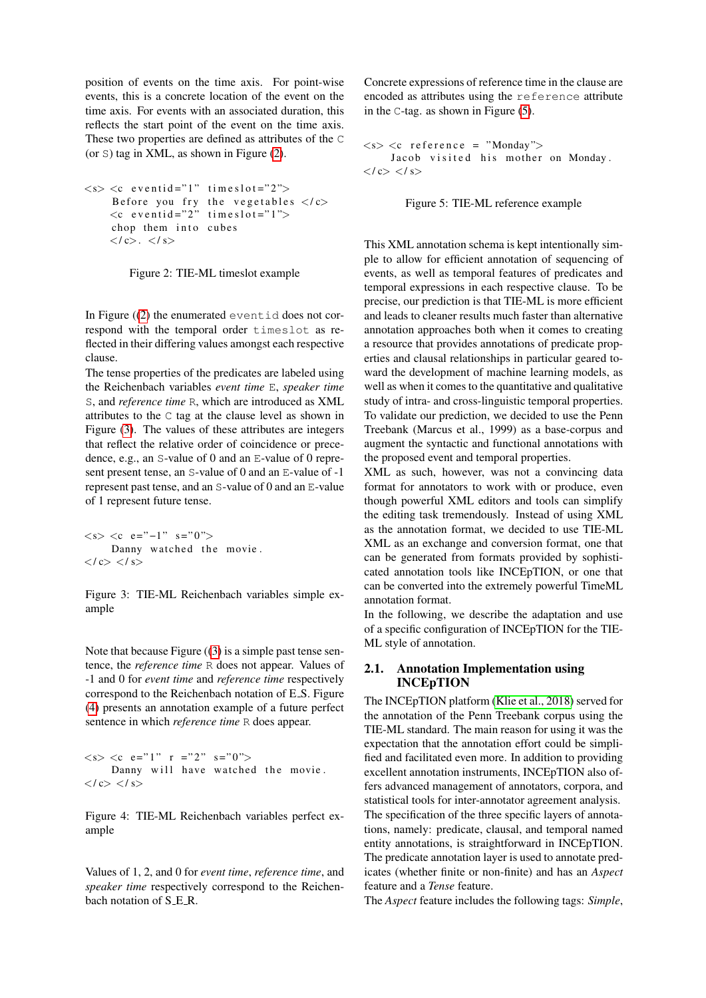position of events on the time axis. For point-wise events, this is a concrete location of the event on the time axis. For events with an associated duration, this reflects the start point of the event on the time axis. These two properties are defined as attributes of the C (or S) tag in XML, as shown in Figure [\(2\)](#page-4-0).

```
\langle s \rangle \langle c eventid="1" times lot="2">
       Before you fry the vegetables \langle c \rangle\langle c \text{ event } d = "2" \text{ time } s \text{ to } t = "1" \ranglechop them into cubes
       \langle c \rangle. \langle s \rangle
```
<span id="page-4-0"></span>Figure 2: TIE-ML timeslot example

In Figure  $(2)$  the enumerated eventid does not correspond with the temporal order timeslot as reflected in their differing values amongst each respective clause.

The tense properties of the predicates are labeled using the Reichenbach variables *event time* E, *speaker time* S, and *reference time* R, which are introduced as XML attributes to the C tag at the clause level as shown in Figure [\(3\)](#page-4-1). The values of these attributes are integers that reflect the relative order of coincidence or precedence, e.g., an S-value of 0 and an E-value of 0 represent present tense, an S-value of 0 and an E-value of -1 represent past tense, and an S-value of 0 and an E-value of 1 represent future tense.

```
\langle s \rangle \langle c \ e = \rangle -1 \rangle" s="0">
       Danny watched the movie.
</ c> </ s>
```
<span id="page-4-1"></span>Figure 3: TIE-ML Reichenbach variables simple example

Note that because Figure  $((3)$  $((3)$  is a simple past tense sentence, the *reference time* R does not appear. Values of -1 and 0 for *event time* and *reference time* respectively correspond to the Reichenbach notation of E<sub>-S</sub>. Figure [\(4\)](#page-4-2) presents an annotation example of a future perfect sentence in which *reference time* R does appear.

 $\langle s \rangle \langle c \ e = "1" \ r = "2" \ s = "0" \rangle$ Danny will have watched the movie.  $\langle c \rangle \langle s \rangle$ 

<span id="page-4-2"></span>Figure 4: TIE-ML Reichenbach variables perfect example

Values of 1, 2, and 0 for *event time*, *reference time*, and *speaker time* respectively correspond to the Reichenbach notation of S<sub>.E.R.</sub>

Concrete expressions of reference time in the clause are encoded as attributes using the reference attribute in the C-tag. as shown in Figure [\(5\)](#page-4-3).

 $\langle s \rangle \langle c$  reference = "Monday"> Jacob visited his mother on Monday.  $\langle c \rangle \langle s \rangle$ 

<span id="page-4-3"></span>Figure 5: TIE-ML reference example

This XML annotation schema is kept intentionally simple to allow for efficient annotation of sequencing of events, as well as temporal features of predicates and temporal expressions in each respective clause. To be precise, our prediction is that TIE-ML is more efficient and leads to cleaner results much faster than alternative annotation approaches both when it comes to creating a resource that provides annotations of predicate properties and clausal relationships in particular geared toward the development of machine learning models, as well as when it comes to the quantitative and qualitative study of intra- and cross-linguistic temporal properties. To validate our prediction, we decided to use the Penn Treebank (Marcus et al., 1999) as a base-corpus and augment the syntactic and functional annotations with the proposed event and temporal properties.

XML as such, however, was not a convincing data format for annotators to work with or produce, even though powerful XML editors and tools can simplify the editing task tremendously. Instead of using XML as the annotation format, we decided to use TIE-ML XML as an exchange and conversion format, one that can be generated from formats provided by sophisticated annotation tools like INCEpTION, or one that can be converted into the extremely powerful TimeML annotation format.

In the following, we describe the adaptation and use of a specific configuration of INCEpTION for the TIE-ML style of annotation.

## 2.1. Annotation Implementation using **INCEpTION**

The INCEpTION platform [\(Klie et al., 2018\)](#page-7-8) served for the annotation of the Penn Treebank corpus using the TIE-ML standard. The main reason for using it was the expectation that the annotation effort could be simplified and facilitated even more. In addition to providing excellent annotation instruments, INCEpTION also offers advanced management of annotators, corpora, and statistical tools for inter-annotator agreement analysis. The specification of the three specific layers of annotations, namely: predicate, clausal, and temporal named entity annotations, is straightforward in INCEpTION. The predicate annotation layer is used to annotate predicates (whether finite or non-finite) and has an *Aspect* feature and a *Tense* feature.

The *Aspect* feature includes the following tags: *Simple*,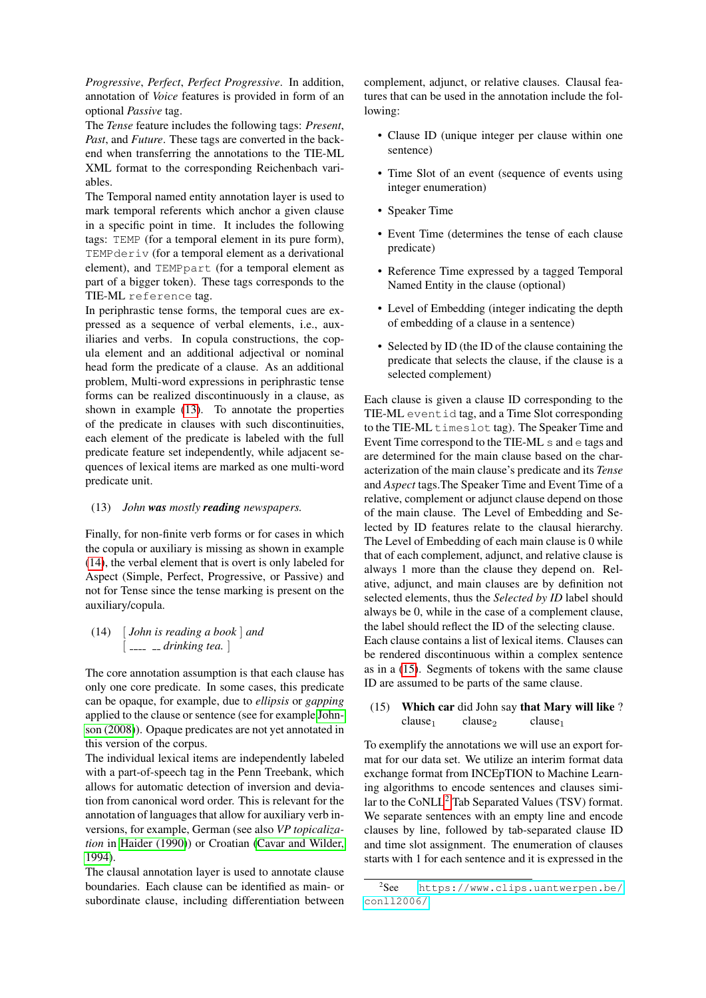*Progressive*, *Perfect*, *Perfect Progressive*. In addition, annotation of *Voice* features is provided in form of an optional *Passive* tag.

The *Tense* feature includes the following tags: *Present*, *Past*, and *Future*. These tags are converted in the backend when transferring the annotations to the TIE-ML XML format to the corresponding Reichenbach variables.

The Temporal named entity annotation layer is used to mark temporal referents which anchor a given clause in a specific point in time. It includes the following tags: TEMP (for a temporal element in its pure form), TEMPderiv (for a temporal element as a derivational element), and TEMPpart (for a temporal element as part of a bigger token). These tags corresponds to the TIE-ML reference tag.

In periphrastic tense forms, the temporal cues are expressed as a sequence of verbal elements, i.e., auxiliaries and verbs. In copula constructions, the copula element and an additional adjectival or nominal head form the predicate of a clause. As an additional problem, Multi-word expressions in periphrastic tense forms can be realized discontinuously in a clause, as shown in example [\(13\)](#page-5-0). To annotate the properties of the predicate in clauses with such discontinuities, each element of the predicate is labeled with the full predicate feature set independently, while adjacent sequences of lexical items are marked as one multi-word predicate unit.

#### <span id="page-5-0"></span>(13) *John was mostly reading newspapers.*

Finally, for non-finite verb forms or for cases in which the copula or auxiliary is missing as shown in example [\(14\)](#page-5-1), the verbal element that is overt is only labeled for Aspect (Simple, Perfect, Progressive, or Passive) and not for Tense since the tense marking is present on the auxiliary/copula.

## <span id="page-5-1"></span>(14) [ *John is reading a book* ] *and* [ *drinking tea.* ]

The core annotation assumption is that each clause has only one core predicate. In some cases, this predicate can be opaque, for example, due to *ellipsis* or *gapping* applied to the clause or sentence (see for example [John](#page-7-9)[son \(2008\)](#page-7-9)). Opaque predicates are not yet annotated in this version of the corpus.

The individual lexical items are independently labeled with a part-of-speech tag in the Penn Treebank, which allows for automatic detection of inversion and deviation from canonical word order. This is relevant for the annotation of languages that allow for auxiliary verb inversions, for example, German (see also *VP topicalization* in [Haider \(1990\)](#page-7-10)) or Croatian [\(Cavar and Wilder,](#page-7-11) [1994\)](#page-7-11).

The clausal annotation layer is used to annotate clause boundaries. Each clause can be identified as main- or subordinate clause, including differentiation between complement, adjunct, or relative clauses. Clausal features that can be used in the annotation include the following:

- Clause ID (unique integer per clause within one sentence)
- Time Slot of an event (sequence of events using integer enumeration)
- Speaker Time
- Event Time (determines the tense of each clause predicate)
- Reference Time expressed by a tagged Temporal Named Entity in the clause (optional)
- Level of Embedding (integer indicating the depth of embedding of a clause in a sentence)
- Selected by ID (the ID of the clause containing the predicate that selects the clause, if the clause is a selected complement)

Each clause is given a clause ID corresponding to the TIE-ML eventid tag, and a Time Slot corresponding to the TIE-ML timeslot tag). The Speaker Time and Event Time correspond to the TIE-ML s and e tags and are determined for the main clause based on the characterization of the main clause's predicate and its *Tense* and *Aspect* tags.The Speaker Time and Event Time of a relative, complement or adjunct clause depend on those of the main clause. The Level of Embedding and Selected by ID features relate to the clausal hierarchy. The Level of Embedding of each main clause is 0 while that of each complement, adjunct, and relative clause is always 1 more than the clause they depend on. Relative, adjunct, and main clauses are by definition not selected elements, thus the *Selected by ID* label should always be 0, while in the case of a complement clause, the label should reflect the ID of the selecting clause. Each clause contains a list of lexical items. Clauses can be rendered discontinuous within a complex sentence as in a [\(15\)](#page-5-2). Segments of tokens with the same clause ID are assumed to be parts of the same clause.

### <span id="page-5-2"></span>(15) Which car did John say that Mary will like ?  $clause<sub>1</sub>$  clause<sub>2</sub> clause<sub>1</sub>

To exemplify the annotations we will use an export format for our data set. We utilize an interim format data exchange format from INCEpTION to Machine Learning algorithms to encode sentences and clauses similar to the  $CoNLL^2$  $CoNLL^2$  Tab Separated Values (TSV) format. We separate sentences with an empty line and encode clauses by line, followed by tab-separated clause ID and time slot assignment. The enumeration of clauses starts with 1 for each sentence and it is expressed in the

<span id="page-5-3"></span> $2$ See [https://www.clips.uantwerpen.be/](https://www.clips.uantwerpen.be/conll2006/) [conll2006/](https://www.clips.uantwerpen.be/conll2006/).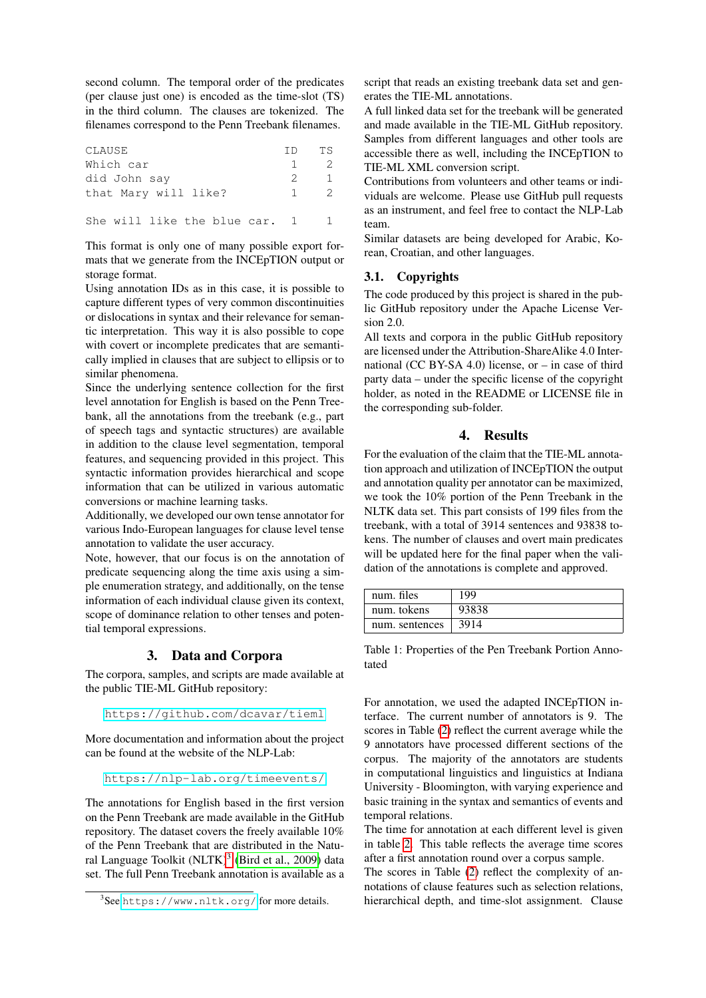second column. The temporal order of the predicates (per clause just one) is encoded as the time-slot (TS) in the third column. The clauses are tokenized. The filenames correspond to the Penn Treebank filenames.

| CLAUSE                        | TD.            | TS            |
|-------------------------------|----------------|---------------|
| Which car                     | $\overline{1}$ | - 2.          |
| did John say                  | $\overline{2}$ |               |
| that Mary will like?          |                | $\mathcal{P}$ |
| She will like the blue car. 1 |                |               |

This format is only one of many possible export formats that we generate from the INCEpTION output or storage format.

Using annotation IDs as in this case, it is possible to capture different types of very common discontinuities or dislocations in syntax and their relevance for semantic interpretation. This way it is also possible to cope with covert or incomplete predicates that are semantically implied in clauses that are subject to ellipsis or to similar phenomena.

Since the underlying sentence collection for the first level annotation for English is based on the Penn Treebank, all the annotations from the treebank (e.g., part of speech tags and syntactic structures) are available in addition to the clause level segmentation, temporal features, and sequencing provided in this project. This syntactic information provides hierarchical and scope information that can be utilized in various automatic conversions or machine learning tasks.

Additionally, we developed our own tense annotator for various Indo-European languages for clause level tense annotation to validate the user accuracy.

Note, however, that our focus is on the annotation of predicate sequencing along the time axis using a simple enumeration strategy, and additionally, on the tense information of each individual clause given its context, scope of dominance relation to other tenses and potential temporal expressions.

## 3. Data and Corpora

The corpora, samples, and scripts are made available at the public TIE-ML GitHub repository:

```
https://github.com/dcavar/tieml
```
More documentation and information about the project can be found at the website of the NLP-Lab:

<https://nlp-lab.org/timeevents/>

The annotations for English based in the first version on the Penn Treebank are made available in the GitHub repository. The dataset covers the freely available 10% of the Penn Treebank that are distributed in the Natu-ral Language Toolkit (NLTK)<sup>[3](#page-6-0)</sup> [\(Bird et al., 2009\)](#page-7-12) data set. The full Penn Treebank annotation is available as a script that reads an existing treebank data set and generates the TIE-ML annotations.

A full linked data set for the treebank will be generated and made available in the TIE-ML GitHub repository. Samples from different languages and other tools are accessible there as well, including the INCEpTION to TIE-ML XML conversion script.

Contributions from volunteers and other teams or individuals are welcome. Please use GitHub pull requests as an instrument, and feel free to contact the NLP-Lab team.

Similar datasets are being developed for Arabic, Korean, Croatian, and other languages.

#### 3.1. Copyrights

The code produced by this project is shared in the public GitHub repository under the Apache License Version 2.0.

All texts and corpora in the public GitHub repository are licensed under the Attribution-ShareAlike 4.0 International (CC BY-SA 4.0) license, or – in case of third party data – under the specific license of the copyright holder, as noted in the README or LICENSE file in the corresponding sub-folder.

## 4. Results

For the evaluation of the claim that the TIE-ML annotation approach and utilization of INCEpTION the output and annotation quality per annotator can be maximized, we took the 10% portion of the Penn Treebank in the NLTK data set. This part consists of 199 files from the treebank, with a total of 3914 sentences and 93838 tokens. The number of clauses and overt main predicates will be updated here for the final paper when the validation of the annotations is complete and approved.

| num. files     | 199   |
|----------------|-------|
| num. tokens    | 93838 |
| num. sentences | 3914  |

Table 1: Properties of the Pen Treebank Portion Annotated

For annotation, we used the adapted INCEpTION interface. The current number of annotators is 9. The scores in Table [\(2\)](#page-7-13) reflect the current average while the 9 annotators have processed different sections of the corpus. The majority of the annotators are students in computational linguistics and linguistics at Indiana University - Bloomington, with varying experience and basic training in the syntax and semantics of events and temporal relations.

The time for annotation at each different level is given in table [2.](#page-7-13) This table reflects the average time scores after a first annotation round over a corpus sample.

The scores in Table [\(2\)](#page-7-13) reflect the complexity of annotations of clause features such as selection relations, hierarchical depth, and time-slot assignment. Clause

<span id="page-6-0"></span><sup>3</sup> See <https://www.nltk.org/> for more details.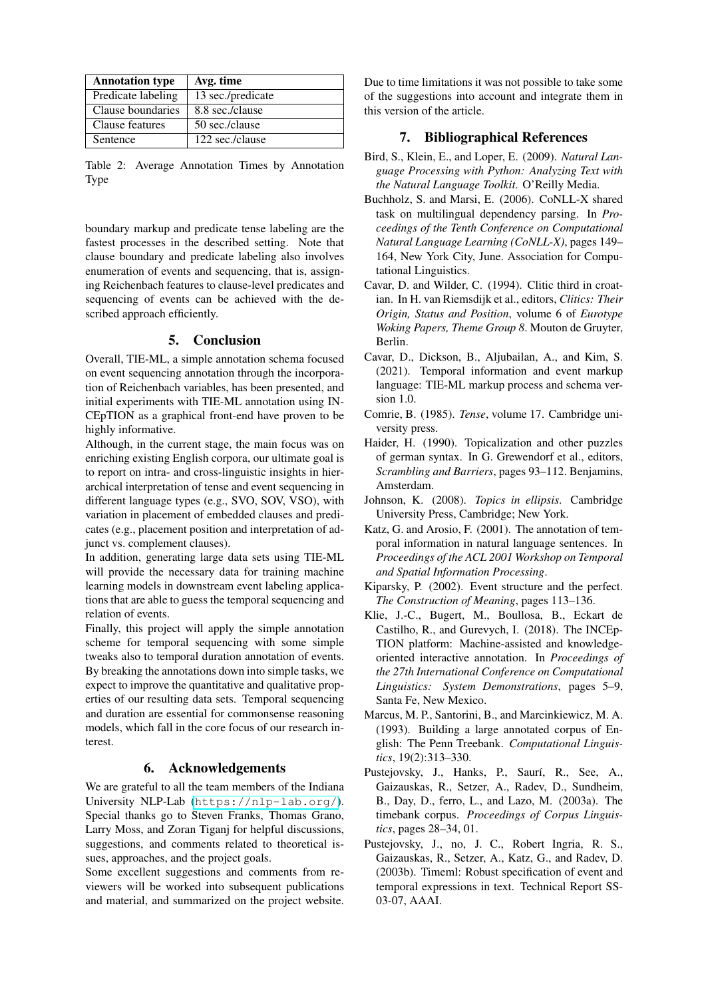| <b>Annotation type</b> | Avg. time         |
|------------------------|-------------------|
| Predicate labeling     | 13 sec./predicate |
| Clause boundaries      | 8.8 sec./clause   |
| Clause features        | 50 sec./clause    |
| Sentence               | 122 sec./clause   |

<span id="page-7-13"></span>Table 2: Average Annotation Times by Annotation **Type** 

boundary markup and predicate tense labeling are the fastest processes in the described setting. Note that clause boundary and predicate labeling also involves enumeration of events and sequencing, that is, assigning Reichenbach features to clause-level predicates and sequencing of events can be achieved with the described approach efficiently.

## 5. Conclusion

Overall, TIE-ML, a simple annotation schema focused on event sequencing annotation through the incorporation of Reichenbach variables, has been presented, and initial experiments with TIE-ML annotation using IN-CEpTION as a graphical front-end have proven to be highly informative.

Although, in the current stage, the main focus was on enriching existing English corpora, our ultimate goal is to report on intra- and cross-linguistic insights in hierarchical interpretation of tense and event sequencing in different language types (e.g., SVO, SOV, VSO), with variation in placement of embedded clauses and predicates (e.g., placement position and interpretation of adjunct vs. complement clauses).

In addition, generating large data sets using TIE-ML will provide the necessary data for training machine learning models in downstream event labeling applications that are able to guess the temporal sequencing and relation of events.

Finally, this project will apply the simple annotation scheme for temporal sequencing with some simple tweaks also to temporal duration annotation of events. By breaking the annotations down into simple tasks, we expect to improve the quantitative and qualitative properties of our resulting data sets. Temporal sequencing and duration are essential for commonsense reasoning models, which fall in the core focus of our research interest.

## 6. Acknowledgements

We are grateful to all the team members of the Indiana University NLP-Lab (<https://nlp-lab.org/>). Special thanks go to Steven Franks, Thomas Grano, Larry Moss, and Zoran Tiganj for helpful discussions, suggestions, and comments related to theoretical issues, approaches, and the project goals.

Some excellent suggestions and comments from reviewers will be worked into subsequent publications and material, and summarized on the project website.

Due to time limitations it was not possible to take some of the suggestions into account and integrate them in this version of the article.

## 7. Bibliographical References

- <span id="page-7-12"></span>Bird, S., Klein, E., and Loper, E. (2009). *Natural Language Processing with Python: Analyzing Text with the Natural Language Toolkit*. O'Reilly Media.
- <span id="page-7-7"></span>Buchholz, S. and Marsi, E. (2006). CoNLL-X shared task on multilingual dependency parsing. In *Proceedings of the Tenth Conference on Computational Natural Language Learning (CoNLL-X)*, pages 149– 164, New York City, June. Association for Computational Linguistics.
- <span id="page-7-11"></span>Cavar, D. and Wilder, C. (1994). Clitic third in croatian. In H. van Riemsdijk et al., editors, *Clitics: Their Origin, Status and Position*, volume 6 of *Eurotype Woking Papers, Theme Group 8*. Mouton de Gruyter, Berlin.
- <span id="page-7-0"></span>Cavar, D., Dickson, B., Aljubailan, A., and Kim, S. (2021). Temporal information and event markup language: TIE-ML markup process and schema version 1.0.
- <span id="page-7-3"></span>Comrie, B. (1985). *Tense*, volume 17. Cambridge university press.
- <span id="page-7-10"></span>Haider, H. (1990). Topicalization and other puzzles of german syntax. In G. Grewendorf et al., editors, *Scrambling and Barriers*, pages 93–112. Benjamins, Amsterdam.
- <span id="page-7-9"></span>Johnson, K. (2008). *Topics in ellipsis*. Cambridge University Press, Cambridge; New York.
- <span id="page-7-6"></span>Katz, G. and Arosio, F. (2001). The annotation of temporal information in natural language sentences. In *Proceedings of the ACL 2001 Workshop on Temporal and Spatial Information Processing*.
- <span id="page-7-2"></span>Kiparsky, P. (2002). Event structure and the perfect. *The Construction of Meaning*, pages 113–136.
- <span id="page-7-8"></span>Klie, J.-C., Bugert, M., Boullosa, B., Eckart de Castilho, R., and Gurevych, I. (2018). The INCEp-TION platform: Machine-assisted and knowledgeoriented interactive annotation. In *Proceedings of the 27th International Conference on Computational Linguistics: System Demonstrations*, pages 5–9, Santa Fe, New Mexico.
- <span id="page-7-1"></span>Marcus, M. P., Santorini, B., and Marcinkiewicz, M. A. (1993). Building a large annotated corpus of English: The Penn Treebank. *Computational Linguistics*, 19(2):313–330.
- <span id="page-7-5"></span>Pustejovsky, J., Hanks, P., Saurí, R., See, A., Gaizauskas, R., Setzer, A., Radev, D., Sundheim, B., Day, D., ferro, L., and Lazo, M. (2003a). The timebank corpus. *Proceedings of Corpus Linguistics*, pages 28–34, 01.
- <span id="page-7-4"></span>Pustejovsky, J., no, J. C., Robert Ingria, R. S., Gaizauskas, R., Setzer, A., Katz, G., and Radev, D. (2003b). Timeml: Robust specification of event and temporal expressions in text. Technical Report SS-03-07, AAAI.